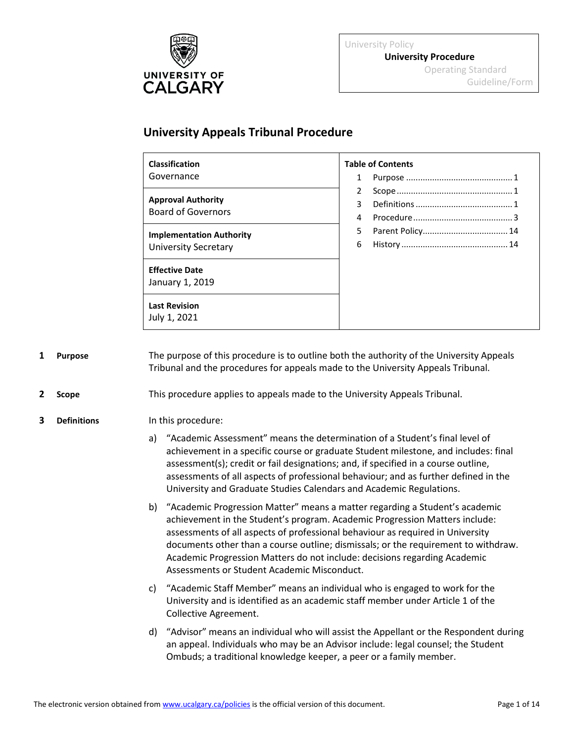

University Policy **University Procedure** Operating Standard Guideline/Form

# **University Appeals Tribunal Procedure**

| <b>Classification</b>                                          | <b>Table of Contents</b> |
|----------------------------------------------------------------|--------------------------|
| Governance                                                     |                          |
| <b>Approval Authority</b><br><b>Board of Governors</b>         | $\overline{2}$           |
|                                                                | 3                        |
|                                                                | 4                        |
| <b>Implementation Authority</b><br><b>University Secretary</b> | 5                        |
|                                                                | 6                        |
| <b>Effective Date</b>                                          |                          |
| January 1, 2019                                                |                          |
| <b>Last Revision</b>                                           |                          |
| July 1, 2021                                                   |                          |

<span id="page-0-0"></span>**1 Purpose** The purpose of this procedure is to outline both the authority of the University Appeals Tribunal and the procedures for appeals made to the University Appeals Tribunal.

<span id="page-0-1"></span>**2 Scope** This procedure applies to appeals made to the University Appeals Tribunal.

#### <span id="page-0-2"></span>**3 Definitions** In this procedure:

- a) "Academic Assessment" means the determination of a Student's final level of achievement in a specific course or graduate Student milestone, and includes: final assessment(s); credit or fail designations; and, if specified in a course outline, assessments of all aspects of professional behaviour; and as further defined in the University and Graduate Studies Calendars and Academic Regulations.
- b) "Academic Progression Matter" means a matter regarding a Student's academic achievement in the Student's program. Academic Progression Matters include: assessments of all aspects of professional behaviour as required in University documents other than a course outline; dismissals; or the requirement to withdraw. Academic Progression Matters do not include: decisions regarding Academic Assessments or Student Academic Misconduct.
- c) "Academic Staff Member" means an individual who is engaged to work for the University and is identified as an academic staff member under Article 1 of the Collective Agreement.
- d) "Advisor" means an individual who will assist the Appellant or the Respondent during an appeal. Individuals who may be an Advisor include: legal counsel; the Student Ombuds; a traditional knowledge keeper, a peer or a family member.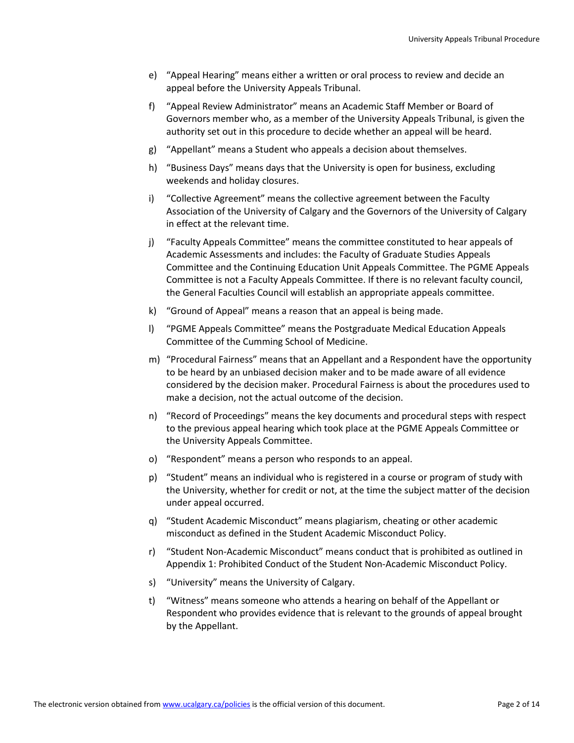- e) "Appeal Hearing" means either a written or oral process to review and decide an appeal before the University Appeals Tribunal.
- f) "Appeal Review Administrator" means an Academic Staff Member or Board of Governors member who, as a member of the University Appeals Tribunal, is given the authority set out in this procedure to decide whether an appeal will be heard.
- g) "Appellant" means a Student who appeals a decision about themselves.
- h) "Business Days" means days that the University is open for business, excluding weekends and holiday closures.
- i) "Collective Agreement" means the collective agreement between the Faculty Association of the University of Calgary and the Governors of the University of Calgary in effect at the relevant time.
- j) "Faculty Appeals Committee" means the committee constituted to hear appeals of Academic Assessments and includes: the Faculty of Graduate Studies Appeals Committee and the Continuing Education Unit Appeals Committee. The PGME Appeals Committee is not a Faculty Appeals Committee. If there is no relevant faculty council, the General Faculties Council will establish an appropriate appeals committee.
- k) "Ground of Appeal" means a reason that an appeal is being made.
- l) "PGME Appeals Committee" means the Postgraduate Medical Education Appeals Committee of the Cumming School of Medicine.
- m) "Procedural Fairness" means that an Appellant and a Respondent have the opportunity to be heard by an unbiased decision maker and to be made aware of all evidence considered by the decision maker. Procedural Fairness is about the procedures used to make a decision, not the actual outcome of the decision.
- n) "Record of Proceedings" means the key documents and procedural steps with respect to the previous appeal hearing which took place at the PGME Appeals Committee or the University Appeals Committee.
- o) "Respondent" means a person who responds to an appeal.
- p) "Student" means an individual who is registered in a course or program of study with the University, whether for credit or not, at the time the subject matter of the decision under appeal occurred.
- q) "Student Academic Misconduct" means plagiarism, cheating or other academic misconduct as defined in the Student Academic Misconduct Policy.
- r) "Student Non-Academic Misconduct" means conduct that is prohibited as outlined in Appendix 1: Prohibited Conduct of the Student Non-Academic Misconduct Policy.
- s) "University" means the University of Calgary.
- t) "Witness" means someone who attends a hearing on behalf of the Appellant or Respondent who provides evidence that is relevant to the grounds of appeal brought by the Appellant.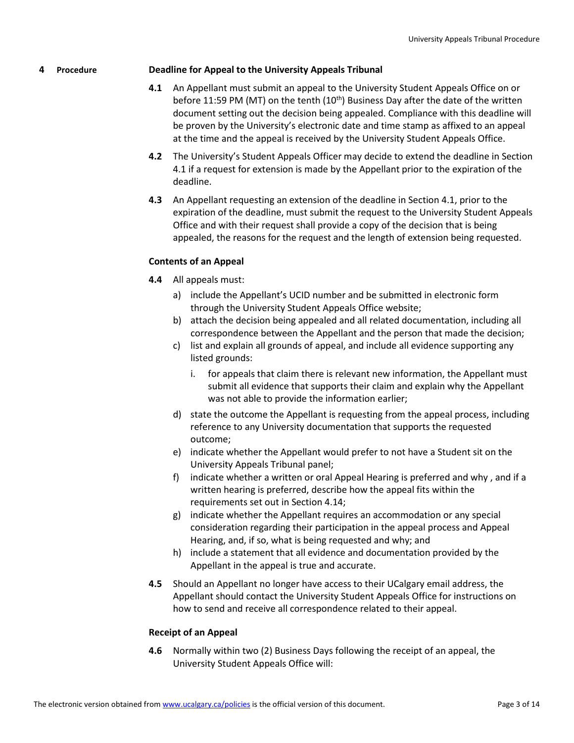### <span id="page-2-0"></span>**4 Procedure Deadline for Appeal to the University Appeals Tribunal**

- **4.1** An Appellant must submit an appeal to the University Student Appeals Office on or before 11:59 PM (MT) on the tenth  $(10<sup>th</sup>)$  Business Day after the date of the written document setting out the decision being appealed. Compliance with this deadline will be proven by the University's electronic date and time stamp as affixed to an appeal at the time and the appeal is received by the University Student Appeals Office.
- **4.2** The University's Student Appeals Officer may decide to extend the deadline in Section 4.1 if a request for extension is made by the Appellant prior to the expiration of the deadline.
- **4.3** An Appellant requesting an extension of the deadline in Section 4.1, prior to the expiration of the deadline, must submit the request to the University Student Appeals Office and with their request shall provide a copy of the decision that is being appealed, the reasons for the request and the length of extension being requested.

### **Contents of an Appeal**

- **4.4** All appeals must:
	- a) include the Appellant's UCID number and be submitted in electronic form through the University Student Appeals Office website;
	- b) attach the decision being appealed and all related documentation, including all correspondence between the Appellant and the person that made the decision;
	- c) list and explain all grounds of appeal, and include all evidence supporting any listed grounds:
		- i. for appeals that claim there is relevant new information, the Appellant must submit all evidence that supports their claim and explain why the Appellant was not able to provide the information earlier;
	- d) state the outcome the Appellant is requesting from the appeal process, including reference to any University documentation that supports the requested outcome;
	- e) indicate whether the Appellant would prefer to not have a Student sit on the University Appeals Tribunal panel;
	- f) indicate whether a written or oral Appeal Hearing is preferred and why , and if a written hearing is preferred, describe how the appeal fits within the requirements set out in Section 4.14;
	- g) indicate whether the Appellant requires an accommodation or any special consideration regarding their participation in the appeal process and Appeal Hearing, and, if so, what is being requested and why; and
	- h) include a statement that all evidence and documentation provided by the Appellant in the appeal is true and accurate.
- **4.5** Should an Appellant no longer have access to their UCalgary email address, the Appellant should contact the University Student Appeals Office for instructions on how to send and receive all correspondence related to their appeal.

#### **Receipt of an Appeal**

**4.6** Normally within two (2) Business Days following the receipt of an appeal, the University Student Appeals Office will: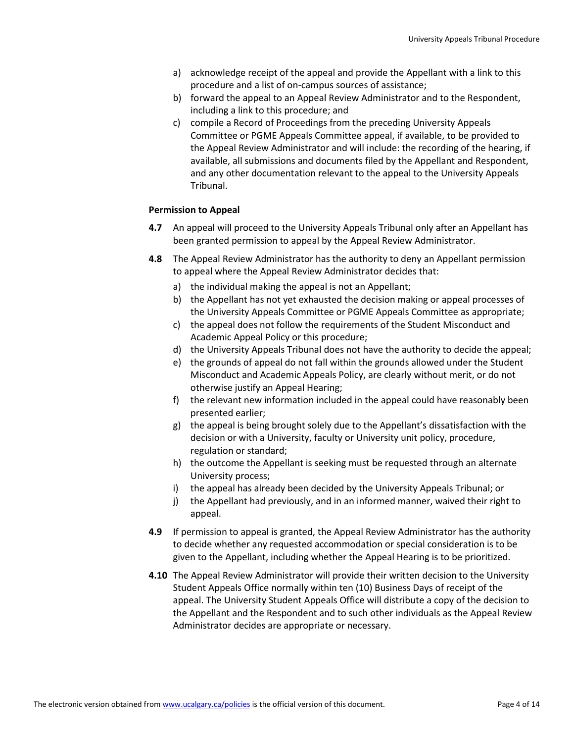- a) acknowledge receipt of the appeal and provide the Appellant with a link to this procedure and a list of on-campus sources of assistance;
- b) forward the appeal to an Appeal Review Administrator and to the Respondent, including a link to this procedure; and
- c) compile a Record of Proceedings from the preceding University Appeals Committee or PGME Appeals Committee appeal, if available, to be provided to the Appeal Review Administrator and will include: the recording of the hearing, if available, all submissions and documents filed by the Appellant and Respondent, and any other documentation relevant to the appeal to the University Appeals Tribunal.

# **Permission to Appeal**

- **4.7** An appeal will proceed to the University Appeals Tribunal only after an Appellant has been granted permission to appeal by the Appeal Review Administrator.
- **4.8** The Appeal Review Administrator has the authority to deny an Appellant permission to appeal where the Appeal Review Administrator decides that:
	- a) the individual making the appeal is not an Appellant;
	- b) the Appellant has not yet exhausted the decision making or appeal processes of the University Appeals Committee or PGME Appeals Committee as appropriate;
	- c) the appeal does not follow the requirements of the Student Misconduct and Academic Appeal Policy or this procedure;
	- d) the University Appeals Tribunal does not have the authority to decide the appeal;
	- e) the grounds of appeal do not fall within the grounds allowed under the Student Misconduct and Academic Appeals Policy, are clearly without merit, or do not otherwise justify an Appeal Hearing;
	- f) the relevant new information included in the appeal could have reasonably been presented earlier;
	- g) the appeal is being brought solely due to the Appellant's dissatisfaction with the decision or with a University, faculty or University unit policy, procedure, regulation or standard;
	- h) the outcome the Appellant is seeking must be requested through an alternate University process;
	- i) the appeal has already been decided by the University Appeals Tribunal; or
	- j) the Appellant had previously, and in an informed manner, waived their right to appeal.
- **4.9** If permission to appeal is granted, the Appeal Review Administrator has the authority to decide whether any requested accommodation or special consideration is to be given to the Appellant, including whether the Appeal Hearing is to be prioritized.
- **4.10** The Appeal Review Administrator will provide their written decision to the University Student Appeals Office normally within ten (10) Business Days of receipt of the appeal. The University Student Appeals Office will distribute a copy of the decision to the Appellant and the Respondent and to such other individuals as the Appeal Review Administrator decides are appropriate or necessary.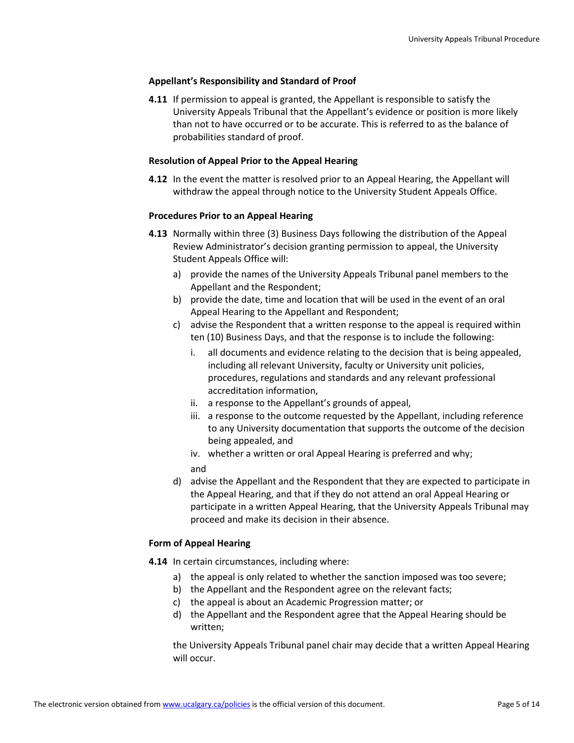### **Appellant's Responsibility and Standard of Proof**

**4.11** If permission to appeal is granted, the Appellant is responsible to satisfy the University Appeals Tribunal that the Appellant's evidence or position is more likely than not to have occurred or to be accurate. This is referred to as the balance of probabilities standard of proof.

### **Resolution of Appeal Prior to the Appeal Hearing**

**4.12** In the event the matter is resolved prior to an Appeal Hearing, the Appellant will withdraw the appeal through notice to the University Student Appeals Office.

### **Procedures Prior to an Appeal Hearing**

- **4.13** Normally within three (3) Business Days following the distribution of the Appeal Review Administrator's decision granting permission to appeal, the University Student Appeals Office will:
	- a) provide the names of the University Appeals Tribunal panel members to the Appellant and the Respondent;
	- b) provide the date, time and location that will be used in the event of an oral Appeal Hearing to the Appellant and Respondent;
	- c) advise the Respondent that a written response to the appeal is required within ten (10) Business Days, and that the response is to include the following:
		- i. all documents and evidence relating to the decision that is being appealed, including all relevant University, faculty or University unit policies, procedures, regulations and standards and any relevant professional accreditation information,
		- ii. a response to the Appellant's grounds of appeal,
		- iii. a response to the outcome requested by the Appellant, including reference to any University documentation that supports the outcome of the decision being appealed, and
		- iv. whether a written or oral Appeal Hearing is preferred and why;
		- and
	- d) advise the Appellant and the Respondent that they are expected to participate in the Appeal Hearing, and that if they do not attend an oral Appeal Hearing or participate in a written Appeal Hearing, that the University Appeals Tribunal may proceed and make its decision in their absence.

# **Form of Appeal Hearing**

- **4.14** In certain circumstances, including where:
	- a) the appeal is only related to whether the sanction imposed was too severe;
	- b) the Appellant and the Respondent agree on the relevant facts;
	- c) the appeal is about an Academic Progression matter; or
	- d) the Appellant and the Respondent agree that the Appeal Hearing should be written;

the University Appeals Tribunal panel chair may decide that a written Appeal Hearing will occur.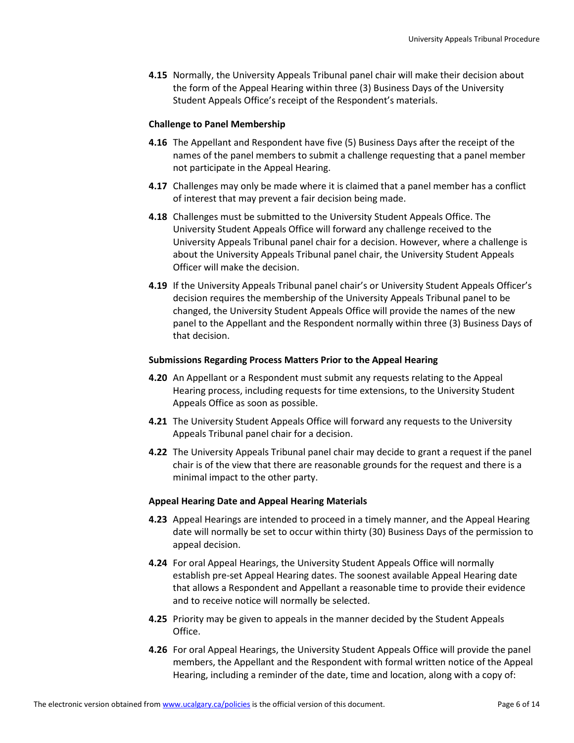**4.15** Normally, the University Appeals Tribunal panel chair will make their decision about the form of the Appeal Hearing within three (3) Business Days of the University Student Appeals Office's receipt of the Respondent's materials.

#### **Challenge to Panel Membership**

- **4.16** The Appellant and Respondent have five (5) Business Days after the receipt of the names of the panel members to submit a challenge requesting that a panel member not participate in the Appeal Hearing.
- **4.17** Challenges may only be made where it is claimed that a panel member has a conflict of interest that may prevent a fair decision being made.
- **4.18** Challenges must be submitted to the University Student Appeals Office. The University Student Appeals Office will forward any challenge received to the University Appeals Tribunal panel chair for a decision. However, where a challenge is about the University Appeals Tribunal panel chair, the University Student Appeals Officer will make the decision.
- **4.19** If the University Appeals Tribunal panel chair's or University Student Appeals Officer's decision requires the membership of the University Appeals Tribunal panel to be changed, the University Student Appeals Office will provide the names of the new panel to the Appellant and the Respondent normally within three (3) Business Days of that decision.

#### **Submissions Regarding Process Matters Prior to the Appeal Hearing**

- **4.20** An Appellant or a Respondent must submit any requests relating to the Appeal Hearing process, including requests for time extensions, to the University Student Appeals Office as soon as possible.
- **4.21** The University Student Appeals Office will forward any requests to the University Appeals Tribunal panel chair for a decision.
- **4.22** The University Appeals Tribunal panel chair may decide to grant a request if the panel chair is of the view that there are reasonable grounds for the request and there is a minimal impact to the other party.

#### **Appeal Hearing Date and Appeal Hearing Materials**

- **4.23** Appeal Hearings are intended to proceed in a timely manner, and the Appeal Hearing date will normally be set to occur within thirty (30) Business Days of the permission to appeal decision.
- **4.24** For oral Appeal Hearings, the University Student Appeals Office will normally establish pre-set Appeal Hearing dates. The soonest available Appeal Hearing date that allows a Respondent and Appellant a reasonable time to provide their evidence and to receive notice will normally be selected.
- **4.25** Priority may be given to appeals in the manner decided by the Student Appeals Office.
- **4.26** For oral Appeal Hearings, the University Student Appeals Office will provide the panel members, the Appellant and the Respondent with formal written notice of the Appeal Hearing, including a reminder of the date, time and location, along with a copy of: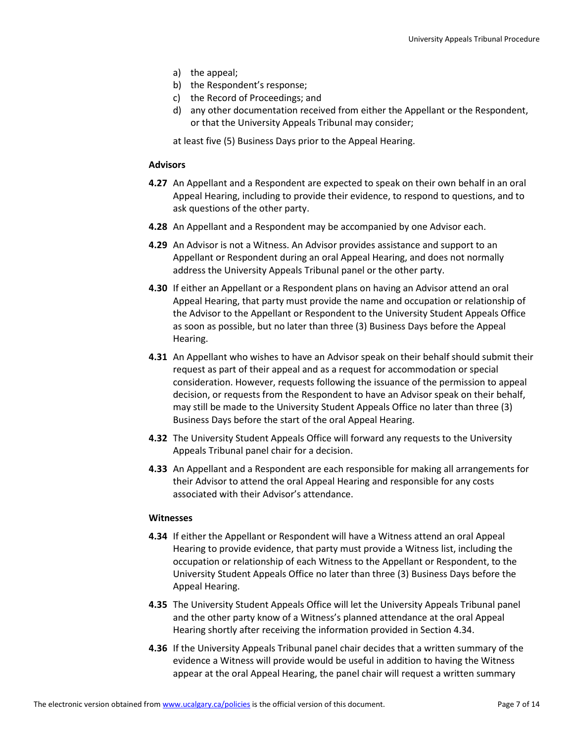- a) the appeal;
- b) the Respondent's response;
- c) the Record of Proceedings; and
- d) any other documentation received from either the Appellant or the Respondent, or that the University Appeals Tribunal may consider;

at least five (5) Business Days prior to the Appeal Hearing.

# **Advisors**

- **4.27** An Appellant and a Respondent are expected to speak on their own behalf in an oral Appeal Hearing, including to provide their evidence, to respond to questions, and to ask questions of the other party.
- **4.28** An Appellant and a Respondent may be accompanied by one Advisor each.
- **4.29** An Advisor is not a Witness. An Advisor provides assistance and support to an Appellant or Respondent during an oral Appeal Hearing, and does not normally address the University Appeals Tribunal panel or the other party.
- **4.30** If either an Appellant or a Respondent plans on having an Advisor attend an oral Appeal Hearing, that party must provide the name and occupation or relationship of the Advisor to the Appellant or Respondent to the University Student Appeals Office as soon as possible, but no later than three (3) Business Days before the Appeal Hearing.
- **4.31** An Appellant who wishes to have an Advisor speak on their behalf should submit their request as part of their appeal and as a request for accommodation or special consideration. However, requests following the issuance of the permission to appeal decision, or requests from the Respondent to have an Advisor speak on their behalf, may still be made to the University Student Appeals Office no later than three (3) Business Days before the start of the oral Appeal Hearing.
- **4.32** The University Student Appeals Office will forward any requests to the University Appeals Tribunal panel chair for a decision.
- **4.33** An Appellant and a Respondent are each responsible for making all arrangements for their Advisor to attend the oral Appeal Hearing and responsible for any costs associated with their Advisor's attendance.

#### **Witnesses**

- **4.34** If either the Appellant or Respondent will have a Witness attend an oral Appeal Hearing to provide evidence, that party must provide a Witness list, including the occupation or relationship of each Witness to the Appellant or Respondent, to the University Student Appeals Office no later than three (3) Business Days before the Appeal Hearing.
- **4.35** The University Student Appeals Office will let the University Appeals Tribunal panel and the other party know of a Witness's planned attendance at the oral Appeal Hearing shortly after receiving the information provided in Section 4.34.
- **4.36** If the University Appeals Tribunal panel chair decides that a written summary of the evidence a Witness will provide would be useful in addition to having the Witness appear at the oral Appeal Hearing, the panel chair will request a written summary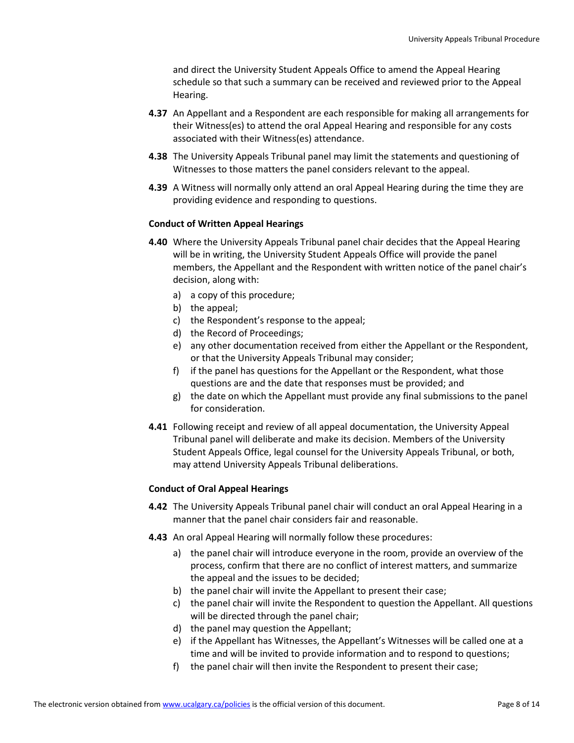and direct the University Student Appeals Office to amend the Appeal Hearing schedule so that such a summary can be received and reviewed prior to the Appeal Hearing.

- **4.37** An Appellant and a Respondent are each responsible for making all arrangements for their Witness(es) to attend the oral Appeal Hearing and responsible for any costs associated with their Witness(es) attendance.
- **4.38** The University Appeals Tribunal panel may limit the statements and questioning of Witnesses to those matters the panel considers relevant to the appeal.
- **4.39** A Witness will normally only attend an oral Appeal Hearing during the time they are providing evidence and responding to questions.

#### **Conduct of Written Appeal Hearings**

- **4.40** Where the University Appeals Tribunal panel chair decides that the Appeal Hearing will be in writing, the University Student Appeals Office will provide the panel members, the Appellant and the Respondent with written notice of the panel chair's decision, along with:
	- a) a copy of this procedure;
	- b) the appeal;
	- c) the Respondent's response to the appeal;
	- d) the Record of Proceedings;
	- e) any other documentation received from either the Appellant or the Respondent, or that the University Appeals Tribunal may consider;
	- f) if the panel has questions for the Appellant or the Respondent, what those questions are and the date that responses must be provided; and
	- g) the date on which the Appellant must provide any final submissions to the panel for consideration.
- **4.41** Following receipt and review of all appeal documentation, the University Appeal Tribunal panel will deliberate and make its decision. Members of the University Student Appeals Office, legal counsel for the University Appeals Tribunal, or both, may attend University Appeals Tribunal deliberations.

#### **Conduct of Oral Appeal Hearings**

- **4.42** The University Appeals Tribunal panel chair will conduct an oral Appeal Hearing in a manner that the panel chair considers fair and reasonable.
- **4.43** An oral Appeal Hearing will normally follow these procedures:
	- a) the panel chair will introduce everyone in the room, provide an overview of the process, confirm that there are no conflict of interest matters, and summarize the appeal and the issues to be decided;
	- b) the panel chair will invite the Appellant to present their case;
	- c) the panel chair will invite the Respondent to question the Appellant. All questions will be directed through the panel chair;
	- d) the panel may question the Appellant;
	- e) if the Appellant has Witnesses, the Appellant's Witnesses will be called one at a time and will be invited to provide information and to respond to questions;
	- f) the panel chair will then invite the Respondent to present their case;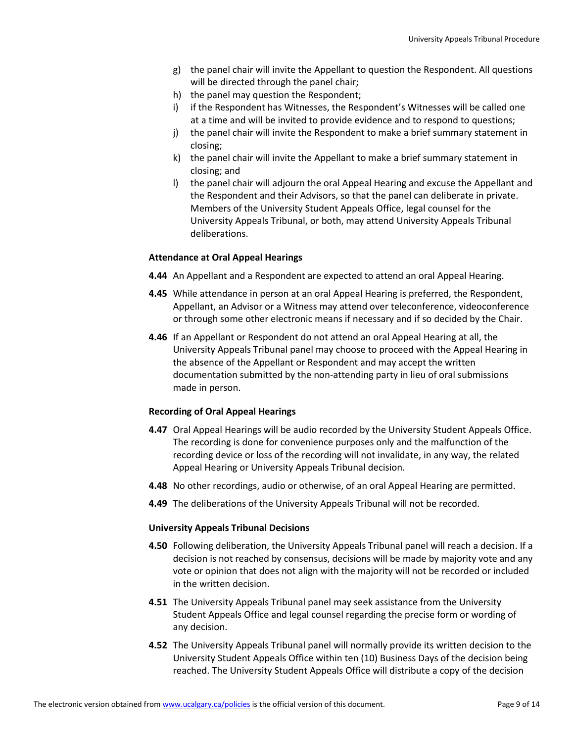- g) the panel chair will invite the Appellant to question the Respondent. All questions will be directed through the panel chair;
- h) the panel may question the Respondent;
- i) if the Respondent has Witnesses, the Respondent's Witnesses will be called one at a time and will be invited to provide evidence and to respond to questions;
- j) the panel chair will invite the Respondent to make a brief summary statement in closing;
- k) the panel chair will invite the Appellant to make a brief summary statement in closing; and
- l) the panel chair will adjourn the oral Appeal Hearing and excuse the Appellant and the Respondent and their Advisors, so that the panel can deliberate in private. Members of the University Student Appeals Office, legal counsel for the University Appeals Tribunal, or both, may attend University Appeals Tribunal deliberations.

### **Attendance at Oral Appeal Hearings**

- **4.44** An Appellant and a Respondent are expected to attend an oral Appeal Hearing.
- **4.45** While attendance in person at an oral Appeal Hearing is preferred, the Respondent, Appellant, an Advisor or a Witness may attend over teleconference, videoconference or through some other electronic means if necessary and if so decided by the Chair.
- **4.46** If an Appellant or Respondent do not attend an oral Appeal Hearing at all, the University Appeals Tribunal panel may choose to proceed with the Appeal Hearing in the absence of the Appellant or Respondent and may accept the written documentation submitted by the non-attending party in lieu of oral submissions made in person.

#### **Recording of Oral Appeal Hearings**

- **4.47** Oral Appeal Hearings will be audio recorded by the University Student Appeals Office. The recording is done for convenience purposes only and the malfunction of the recording device or loss of the recording will not invalidate, in any way, the related Appeal Hearing or University Appeals Tribunal decision.
- **4.48** No other recordings, audio or otherwise, of an oral Appeal Hearing are permitted.
- **4.49** The deliberations of the University Appeals Tribunal will not be recorded.

#### **University Appeals Tribunal Decisions**

- **4.50** Following deliberation, the University Appeals Tribunal panel will reach a decision. If a decision is not reached by consensus, decisions will be made by majority vote and any vote or opinion that does not align with the majority will not be recorded or included in the written decision.
- **4.51** The University Appeals Tribunal panel may seek assistance from the University Student Appeals Office and legal counsel regarding the precise form or wording of any decision.
- **4.52** The University Appeals Tribunal panel will normally provide its written decision to the University Student Appeals Office within ten (10) Business Days of the decision being reached. The University Student Appeals Office will distribute a copy of the decision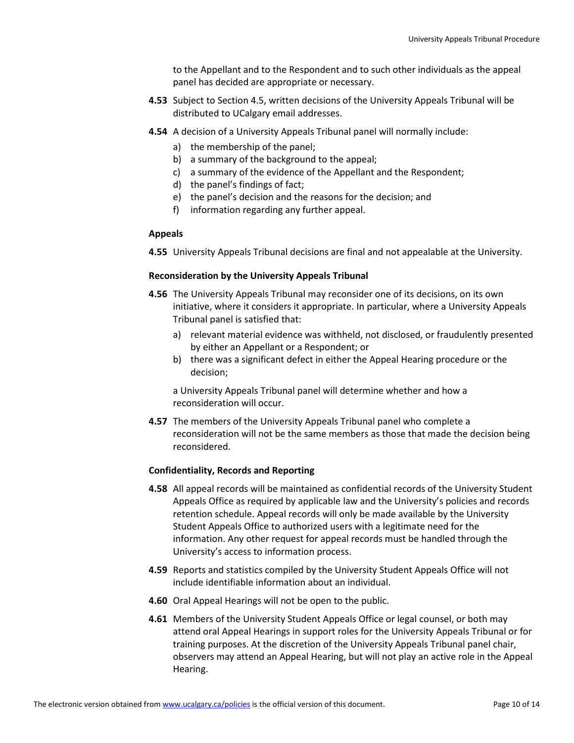to the Appellant and to the Respondent and to such other individuals as the appeal panel has decided are appropriate or necessary.

- **4.53** Subject to Section 4.5, written decisions of the University Appeals Tribunal will be distributed to UCalgary email addresses.
- **4.54** A decision of a University Appeals Tribunal panel will normally include:
	- a) the membership of the panel;
	- b) a summary of the background to the appeal;
	- c) a summary of the evidence of the Appellant and the Respondent;
	- d) the panel's findings of fact;
	- e) the panel's decision and the reasons for the decision; and
	- f) information regarding any further appeal.

# **Appeals**

**4.55** University Appeals Tribunal decisions are final and not appealable at the University.

# **Reconsideration by the University Appeals Tribunal**

- **4.56** The University Appeals Tribunal may reconsider one of its decisions, on its own initiative, where it considers it appropriate. In particular, where a University Appeals Tribunal panel is satisfied that:
	- a) relevant material evidence was withheld, not disclosed, or fraudulently presented by either an Appellant or a Respondent; or
	- b) there was a significant defect in either the Appeal Hearing procedure or the decision;

a University Appeals Tribunal panel will determine whether and how a reconsideration will occur.

**4.57** The members of the University Appeals Tribunal panel who complete a reconsideration will not be the same members as those that made the decision being reconsidered.

# **Confidentiality, Records and Reporting**

- **4.58** All appeal records will be maintained as confidential records of the University Student Appeals Office as required by applicable law and the University's policies and records retention schedule. Appeal records will only be made available by the University Student Appeals Office to authorized users with a legitimate need for the information. Any other request for appeal records must be handled through the University's access to information process.
- **4.59** Reports and statistics compiled by the University Student Appeals Office will not include identifiable information about an individual.
- **4.60** Oral Appeal Hearings will not be open to the public.
- **4.61** Members of the University Student Appeals Office or legal counsel, or both may attend oral Appeal Hearings in support roles for the University Appeals Tribunal or for training purposes. At the discretion of the University Appeals Tribunal panel chair, observers may attend an Appeal Hearing, but will not play an active role in the Appeal Hearing.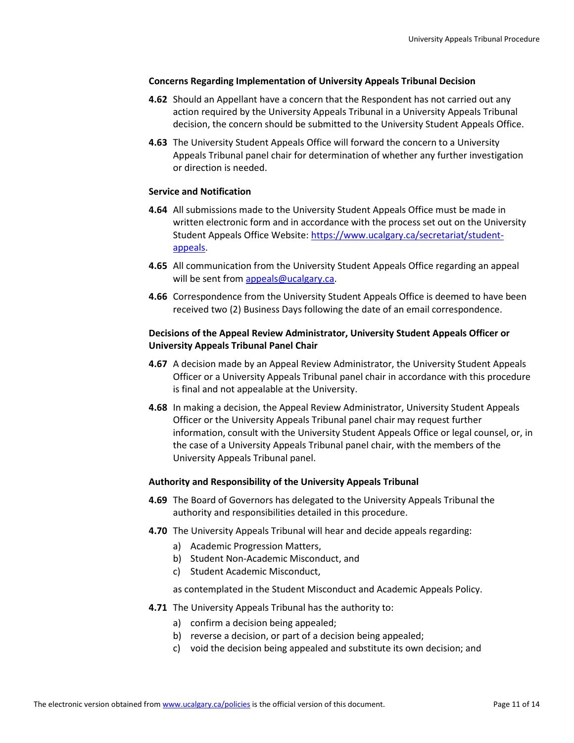#### **Concerns Regarding Implementation of University Appeals Tribunal Decision**

- **4.62** Should an Appellant have a concern that the Respondent has not carried out any action required by the University Appeals Tribunal in a University Appeals Tribunal decision, the concern should be submitted to the University Student Appeals Office.
- **4.63** The University Student Appeals Office will forward the concern to a University Appeals Tribunal panel chair for determination of whether any further investigation or direction is needed.

#### **Service and Notification**

- **4.64** All submissions made to the University Student Appeals Office must be made in written electronic form and in accordance with the process set out on the University Student Appeals Office Website: [https://www.ucalgary.ca/secretariat/student](https://www.ucalgary.ca/secretariat/student-appeals)[appeals.](https://www.ucalgary.ca/secretariat/student-appeals)
- **4.65** All communication from the University Student Appeals Office regarding an appeal will be sent from [appeals@ucalgary.ca.](mailto:appeals@ucalgary.ca)
- **4.66** Correspondence from the University Student Appeals Office is deemed to have been received two (2) Business Days following the date of an email correspondence.

### **Decisions of the Appeal Review Administrator, University Student Appeals Officer or University Appeals Tribunal Panel Chair**

- **4.67** A decision made by an Appeal Review Administrator, the University Student Appeals Officer or a University Appeals Tribunal panel chair in accordance with this procedure is final and not appealable at the University.
- **4.68** In making a decision, the Appeal Review Administrator, University Student Appeals Officer or the University Appeals Tribunal panel chair may request further information, consult with the University Student Appeals Office or legal counsel, or, in the case of a University Appeals Tribunal panel chair, with the members of the University Appeals Tribunal panel.

#### **Authority and Responsibility of the University Appeals Tribunal**

- **4.69** The Board of Governors has delegated to the University Appeals Tribunal the authority and responsibilities detailed in this procedure.
- **4.70** The University Appeals Tribunal will hear and decide appeals regarding:
	- a) Academic Progression Matters,
	- b) Student Non-Academic Misconduct, and
	- c) Student Academic Misconduct,

as contemplated in the Student Misconduct and Academic Appeals Policy.

- **4.71** The University Appeals Tribunal has the authority to:
	- a) confirm a decision being appealed;
	- b) reverse a decision, or part of a decision being appealed;
	- c) void the decision being appealed and substitute its own decision; and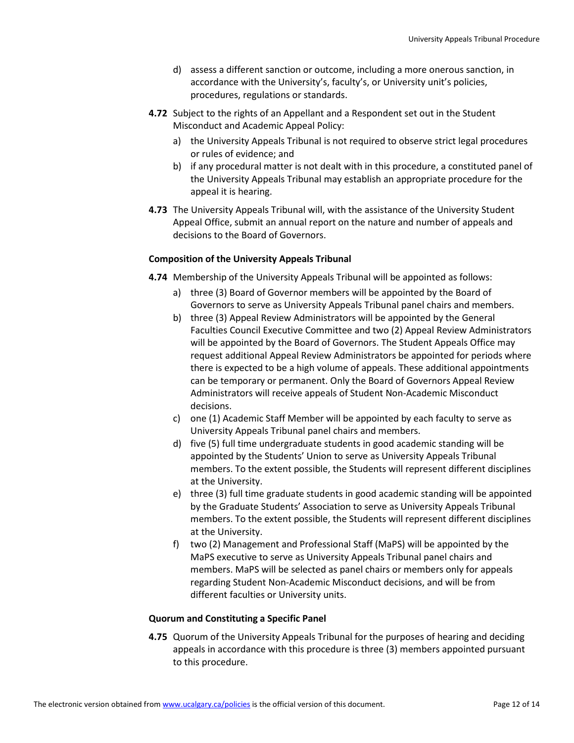- d) assess a different sanction or outcome, including a more onerous sanction, in accordance with the University's, faculty's, or University unit's policies, procedures, regulations or standards.
- **4.72** Subject to the rights of an Appellant and a Respondent set out in the Student Misconduct and Academic Appeal Policy:
	- a) the University Appeals Tribunal is not required to observe strict legal procedures or rules of evidence; and
	- b) if any procedural matter is not dealt with in this procedure, a constituted panel of the University Appeals Tribunal may establish an appropriate procedure for the appeal it is hearing.
- **4.73** The University Appeals Tribunal will, with the assistance of the University Student Appeal Office, submit an annual report on the nature and number of appeals and decisions to the Board of Governors.

# **Composition of the University Appeals Tribunal**

- **4.74** Membership of the University Appeals Tribunal will be appointed as follows:
	- a) three (3) Board of Governor members will be appointed by the Board of Governors to serve as University Appeals Tribunal panel chairs and members.
	- b) three (3) Appeal Review Administrators will be appointed by the General Faculties Council Executive Committee and two (2) Appeal Review Administrators will be appointed by the Board of Governors. The Student Appeals Office may request additional Appeal Review Administrators be appointed for periods where there is expected to be a high volume of appeals. These additional appointments can be temporary or permanent. Only the Board of Governors Appeal Review Administrators will receive appeals of Student Non-Academic Misconduct decisions.
	- c) one (1) Academic Staff Member will be appointed by each faculty to serve as University Appeals Tribunal panel chairs and members.
	- d) five (5) full time undergraduate students in good academic standing will be appointed by the Students' Union to serve as University Appeals Tribunal members. To the extent possible, the Students will represent different disciplines at the University.
	- e) three (3) full time graduate students in good academic standing will be appointed by the Graduate Students' Association to serve as University Appeals Tribunal members. To the extent possible, the Students will represent different disciplines at the University.
	- f) two (2) Management and Professional Staff (MaPS) will be appointed by the MaPS executive to serve as University Appeals Tribunal panel chairs and members. MaPS will be selected as panel chairs or members only for appeals regarding Student Non-Academic Misconduct decisions, and will be from different faculties or University units.

#### **Quorum and Constituting a Specific Panel**

**4.75** Quorum of the University Appeals Tribunal for the purposes of hearing and deciding appeals in accordance with this procedure is three (3) members appointed pursuant to this procedure.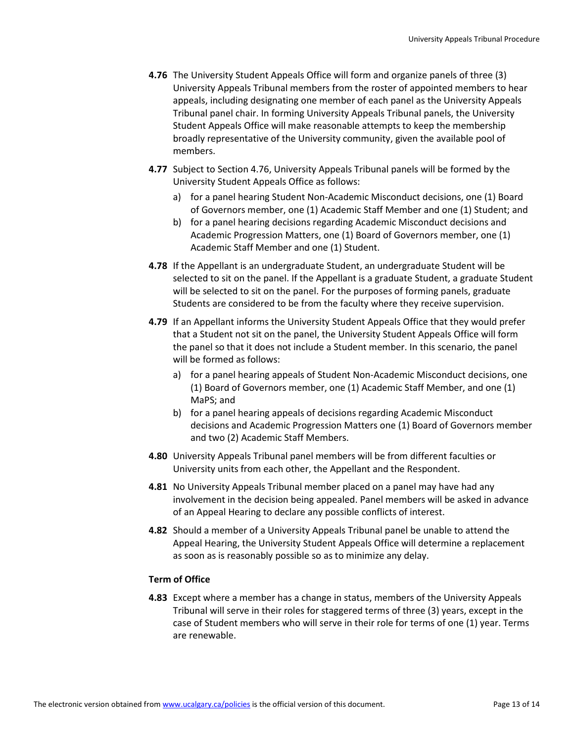- **4.76** The University Student Appeals Office will form and organize panels of three (3) University Appeals Tribunal members from the roster of appointed members to hear appeals, including designating one member of each panel as the University Appeals Tribunal panel chair. In forming University Appeals Tribunal panels, the University Student Appeals Office will make reasonable attempts to keep the membership broadly representative of the University community, given the available pool of members.
- **4.77** Subject to Section 4.76, University Appeals Tribunal panels will be formed by the University Student Appeals Office as follows:
	- a) for a panel hearing Student Non-Academic Misconduct decisions, one (1) Board of Governors member, one (1) Academic Staff Member and one (1) Student; and
	- b) for a panel hearing decisions regarding Academic Misconduct decisions and Academic Progression Matters, one (1) Board of Governors member, one (1) Academic Staff Member and one (1) Student.
- **4.78** If the Appellant is an undergraduate Student, an undergraduate Student will be selected to sit on the panel. If the Appellant is a graduate Student, a graduate Student will be selected to sit on the panel. For the purposes of forming panels, graduate Students are considered to be from the faculty where they receive supervision.
- **4.79** If an Appellant informs the University Student Appeals Office that they would prefer that a Student not sit on the panel, the University Student Appeals Office will form the panel so that it does not include a Student member. In this scenario, the panel will be formed as follows:
	- a) for a panel hearing appeals of Student Non-Academic Misconduct decisions, one (1) Board of Governors member, one (1) Academic Staff Member, and one (1) MaPS; and
	- b) for a panel hearing appeals of decisions regarding Academic Misconduct decisions and Academic Progression Matters one (1) Board of Governors member and two (2) Academic Staff Members.
- **4.80** University Appeals Tribunal panel members will be from different faculties or University units from each other, the Appellant and the Respondent.
- **4.81** No University Appeals Tribunal member placed on a panel may have had any involvement in the decision being appealed. Panel members will be asked in advance of an Appeal Hearing to declare any possible conflicts of interest.
- **4.82** Should a member of a University Appeals Tribunal panel be unable to attend the Appeal Hearing, the University Student Appeals Office will determine a replacement as soon as is reasonably possible so as to minimize any delay.

# **Term of Office**

**4.83** Except where a member has a change in status, members of the University Appeals Tribunal will serve in their roles for staggered terms of three (3) years, except in the case of Student members who will serve in their role for terms of one (1) year. Terms are renewable.